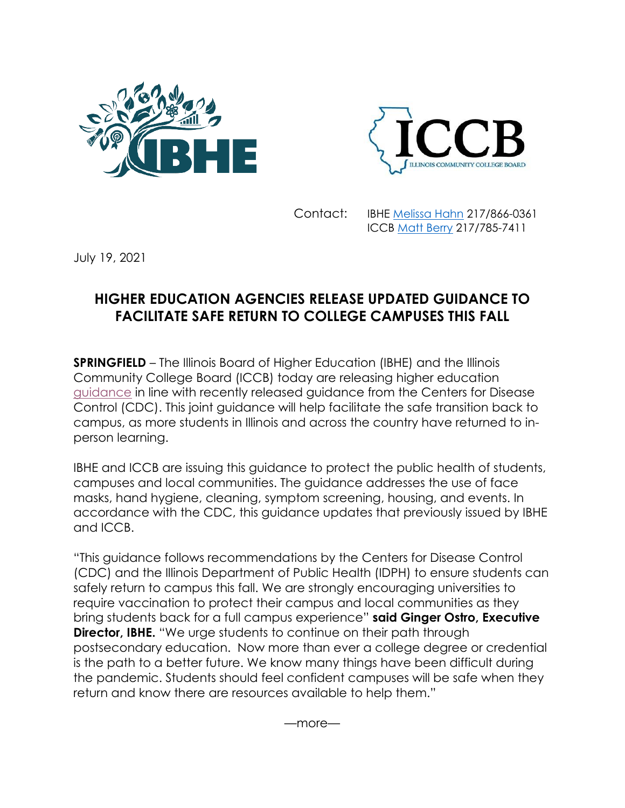



Contact: IBHE [Melissa Hahn](mailto:hahn@ibhe.org) 217/866-0361 ICCB [Matt Berry](mailto:matt.berry@illinois.gov) 217/785-7411

July 19, 2021

## **HIGHER EDUCATION AGENCIES RELEASE UPDATED GUIDANCE TO FACILITATE SAFE RETURN TO COLLEGE CAMPUSES THIS FALL**

**SPRINGFIELD** – The Illinois Board of Higher Education (IBHE) and the Illinois Community College Board (ICCB) today are releasing higher education [guidance](https://www.ibhe.org/HE_Phase5_Guidance.html) in line with recently released guidance from the Centers for Disease Control (CDC). This joint guidance will help facilitate the safe transition back to campus, as more students in Illinois and across the country have returned to inperson learning.

IBHE and ICCB are issuing this guidance to protect the public health of students, campuses and local communities. The guidance addresses the use of face masks, hand hygiene, cleaning, symptom screening, housing, and events. In accordance with the CDC, this guidance updates that previously issued by IBHE and ICCB.

"This guidance follows recommendations by the Centers for Disease Control (CDC) and the Illinois Department of Public Health (IDPH) to ensure students can safely return to campus this fall. We are strongly encouraging universities to require vaccination to protect their campus and local communities as they bring students back for a full campus experience" **said Ginger Ostro, Executive Director, IBHE.** "We urge students to continue on their path through postsecondary education. Now more than ever a college degree or credential is the path to a better future. We know many things have been difficult during the pandemic. Students should feel confident campuses will be safe when they return and know there are resources available to help them."